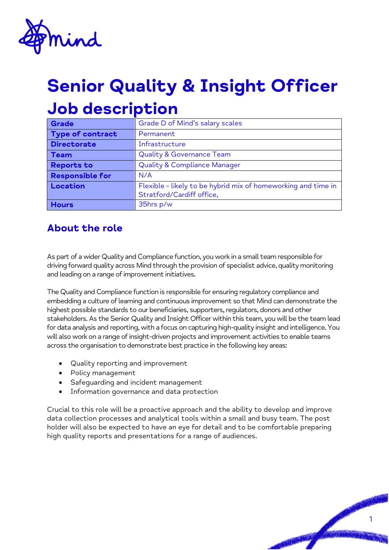

# Senior Quality & Insight Officer Job description

| Grade                  | Grade D of Mind's salary scales                               |
|------------------------|---------------------------------------------------------------|
| Type of contract       | Permanent                                                     |
| <b>Directorate</b>     | Infrastructure                                                |
| <b>Team</b>            | <b>Quality &amp; Governance Team</b>                          |
| <b>Reports to</b>      | <b>Quality &amp; Compliance Manager</b>                       |
| <b>Responsible for</b> | N/A                                                           |
| Location               | Flexible - likely to be hybrid mix of homeworking and time in |
|                        | Stratford/Cardiff office,                                     |
| <b>Hours</b>           | 35hrs p/w                                                     |

#### About the role

As part of a wider Quality and Compliance function, you work in a small team responsible for driving forward quality across Mind through the provision of specialist advice, quality monitoring and leading on a range of improvement initiatives.

The Quality and Compliance function is responsible for ensuring regulatory compliance and embedding a culture of learning and continuous improvement so that Mind can demonstrate the highest possible standards to our beneficiaries, supporters, regulators, donors and other stakeholders. As the Senior Quality and Insight Officer within this team, you will be the team lead for data analysis and reporting, with a focus on capturing high-quality insight and intelligence. You will also work on a range of insight-driven projects and improvement activities to enable teams across the organisation to demonstrate best practice in the following key areas:

- Quality reporting and improvement
- Policy management
- Safeguarding and incident management
- Information governance and data protection

Crucial to this role will be a proactive approach and the ability to develop and improve data collection processes and analytical tools within a small and busy team. The post holder will also be expected to have an eye for detail and to be comfortable preparing high quality reports and presentations for a range of audiences.

1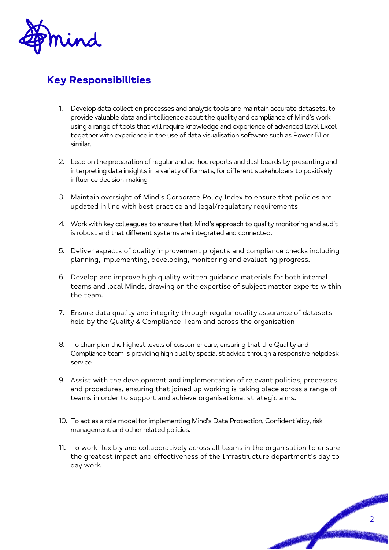

## Key Responsibilities

- 1. Develop data collection processes and analytic tools and maintain accurate datasets, to provide valuable data and intelligence about the quality and compliance of Mind's work using a range of tools that will require knowledge and experience of advanced level Excel together with experience in the use of data visualisation software such as Power BI or similar.
- 2. Lead on the preparation of regular and ad-hoc reports and dashboards by presenting and interpreting data insights in a variety of formats, for different stakeholders to positively influence decision-making
- 3. Maintain oversight of Mind's Corporate Policy Index to ensure that policies are updated in line with best practice and legal/regulatory requirements
- 4. Work with key colleagues to ensure that Mind's approach to quality monitoring and audit is robust and that different systems are integrated and connected.
- 5. Deliver aspects of quality improvement projects and compliance checks including planning, implementing, developing, monitoring and evaluating progress.
- 6. Develop and improve high quality written guidance materials for both internal teams and local Minds, drawing on the expertise of subject matter experts within the team.
- 7. Ensure data quality and integrity through regular quality assurance of datasets held by the Quality & Compliance Team and across the organisation
- 8. To champion the highest levels of customer care, ensuring that the Quality and Compliance team is providing high quality specialist advice through a responsive helpdesk service
- 9. Assist with the development and implementation of relevant policies, processes and procedures, ensuring that joined up working is taking place across a range of teams in order to support and achieve organisational strategic aims.
- 10. To act as a role model for implementing Mind's Data Protection, Confidentiality, risk management and other related policies.
- 11. To work flexibly and collaboratively across all teams in the organisation to ensure the greatest impact and effectiveness of the Infrastructure department's day to day work.

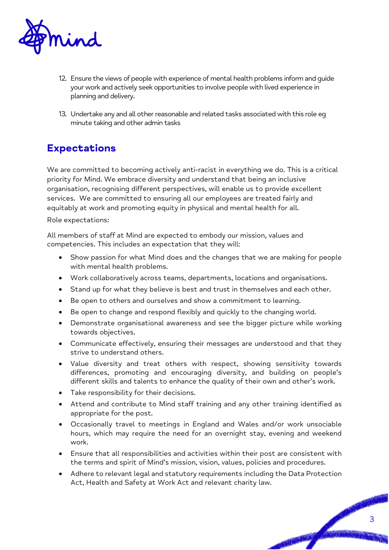

- 12. Ensure the views of people with experience of mental health problems inform and guide your work and actively seek opportunities to involve people with lived experience in planning and delivery.
- 13. Undertake any and all other reasonable and related tasks associated with this role eg minute taking and other admin tasks

#### Expectations

We are committed to becoming actively anti-racist in everything we do. This is a critical priority for Mind. We embrace diversity and understand that being an inclusive organisation, recognising different perspectives, will enable us to provide excellent services. We are committed to ensuring all our employees are treated fairly and equitably at work and promoting equity in physical and mental health for all.

Role expectations:

All members of staff at Mind are expected to embody our mission, values and competencies. This includes an expectation that they will:

- Show passion for what Mind does and the changes that we are making for people with mental health problems.
- Work collaboratively across teams, departments, locations and organisations.
- Stand up for what they believe is best and trust in themselves and each other.
- Be open to others and ourselves and show a commitment to learning.
- Be open to change and respond flexibly and quickly to the changing world.
- Demonstrate organisational awareness and see the bigger picture while working towards objectives.
- Communicate effectively, ensuring their messages are understood and that they strive to understand others.
- Value diversity and treat others with respect, showing sensitivity towards differences, promoting and encouraging diversity, and building on people's different skills and talents to enhance the quality of their own and other's work.
- Take responsibility for their decisions.
- Attend and contribute to Mind staff training and any other training identified as appropriate for the post.
- Occasionally travel to meetings in England and Wales and/or work unsociable hours, which may require the need for an overnight stay, evening and weekend work.
- Ensure that all responsibilities and activities within their post are consistent with the terms and spirit of Mind's mission, vision, values, policies and procedures.
- Adhere to relevant legal and statutory requirements including the Data Protection Act, Health and Safety at Work Act and relevant charity law.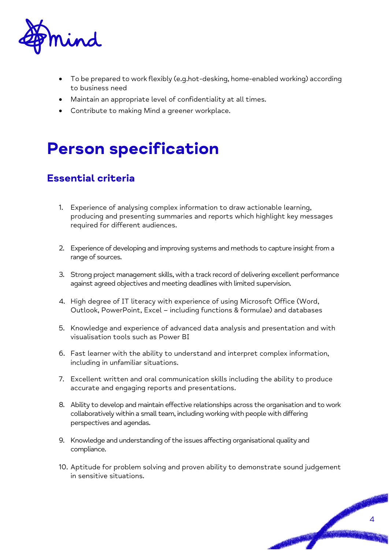

- To be prepared to work flexibly (e.g.hot-desking, home-enabled working) according to business need
- Maintain an appropriate level of confidentiality at all times.
- Contribute to making Mind a greener workplace.

# Person specification

### Essential criteria

- 1. Experience of analysing complex information to draw actionable learning, producing and presenting summaries and reports which highlight key messages required for different audiences.
- 2. Experience of developing and improving systems and methods to capture insight from a range of sources.
- 3. Strong project management skills, with a track record of delivering excellent performance against agreed objectives and meeting deadlines with limited supervision.
- 4. High degree of IT literacy with experience of using Microsoft Office (Word, Outlook, PowerPoint, Excel – including functions & formulae) and databases
- 5. Knowledge and experience of advanced data analysis and presentation and with visualisation tools such as Power BI
- 6. Fast learner with the ability to understand and interpret complex information, including in unfamiliar situations.
- 7. Excellent written and oral communication skills including the ability to produce accurate and engaging reports and presentations.
- 8. Ability to develop and maintain effective relationships across the organisation and to work collaboratively within a small team, including working with people with differing perspectives and agendas.
- 9. Knowledge and understanding of the issues affecting organisational quality and compliance.
- 10. Aptitude for problem solving and proven ability to demonstrate sound judgement in sensitive situations.

PASSAGE AND RESERVE